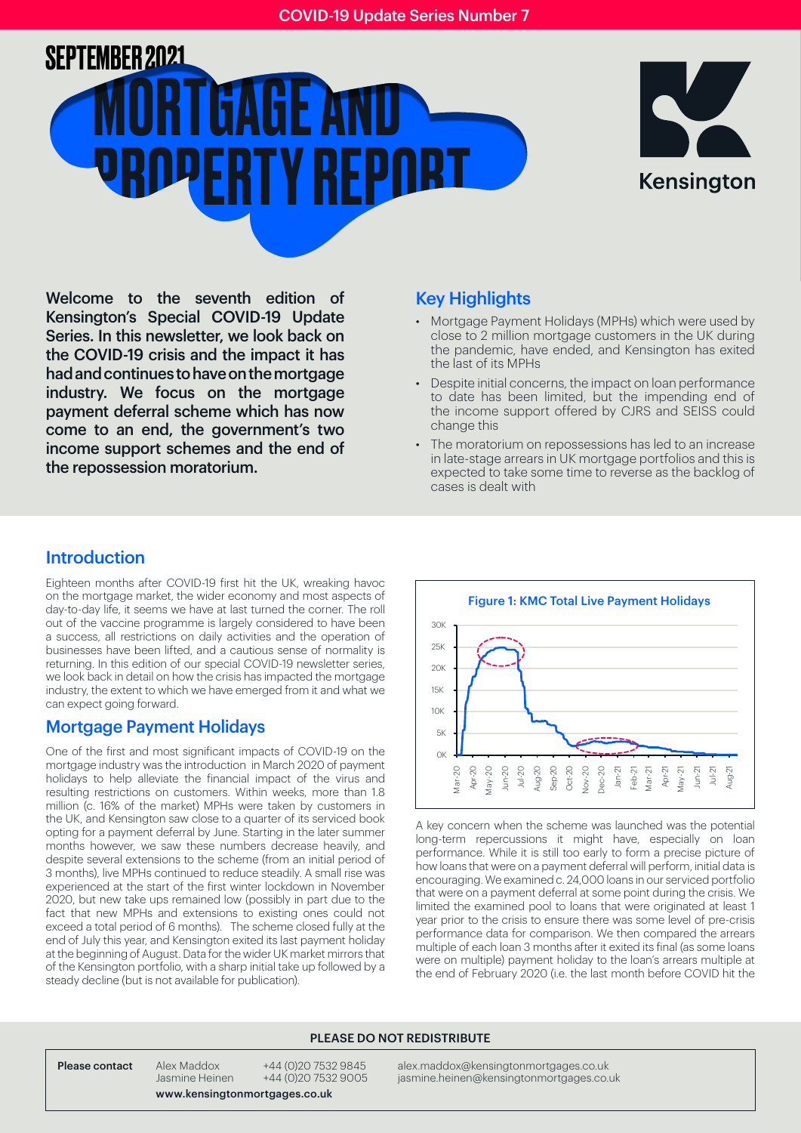



Welcome to the seventh edition of Kensington's Special COVID-19 Update Series. In this newsletter, we look back on the COVID-19 crisis and the impact it has had and continues to have on the mortgage industry. We focus on the mortgage payment deferral scheme which has now come to an end, the government's two income support schemes and the end of the repossession moratorium.

### Key Highlights

- Mortgage Payment Holidays (MPHs) which were used by close to 2 million mortgage customers in the UK during the pandemic, have ended, and Kensington has exited the last of its MPHs
- Despite initial concerns, the impact on loan performance to date has been limited, but the impending end of the income support offered by CJRS and SEISS could change this
- The moratorium on repossessions has led to an increase in late-stage arrears in UK mortgage portfolios and this is expected to take some time to reverse as the backlog of cases is dealt with

### Introduction

Eighteen months after COVID-19 first hit the UK, wreaking havoc on the mortgage market, the wider economy and most aspects of day-to-day life, it seems we have at last turned the corner. The roll out of the vaccine programme is largely considered to have been a success, all restrictions on daily activities and the operation of businesses have been lifted, and a cautious sense of normality is returning. In this edition of our special COVID-19 newsletter series, we look back in detail on how the crisis has impacted the mortgage industry, the extent to which we have emerged from it and what we can expect going forward.

### Mortgage Payment Holidays

One of the first and most significant impacts of COVID-19 on the mortgage industry was the introduction in March 2020 of payment holidays to help alleviate the financial impact of the virus and resulting restrictions on customers. Within weeks, more than 1.8 million (c. 16% of the market) MPHs were taken by customers in the UK, and Kensington saw close to a quarter of its serviced book opting for a payment deferral by June. Starting in the later summer months however, we saw these numbers decrease heavily, and despite several extensions to the scheme (from an initial period of 3 months), live MPHs continued to reduce steadily. A small rise was experienced at the start of the first winter lockdown in November 2020, but new take ups remained low (possibly in part due to the fact that new MPHs and extensions to existing ones could not exceed a total period of 6 months). The scheme closed fully at the end of July this year, and Kensington exited its last payment holiday at the beginning of August. Data for the wider UK market mirrors that of the Kensington portfolio, with a sharp initial take up followed by a steady decline (but is not available for publication).



A key concern when the scheme was launched was the potential long-term repercussions it might have, especially on loan performance. While it is still too early to form a precise picture of how loans that were on a payment deferral will perform, initial data is encouraging. We examined c. 24,000 loans in our serviced portfolio that were on a payment deferral at some point during the crisis. We limited the examined pool to loans that were originated at least 1 year prior to the crisis to ensure there was some level of pre-crisis performance data for comparison. We then compared the arrears multiple of each loan 3 months after it exited its final (as some loans were on multiple) payment holiday to the loan's arrears multiple at the end of February 2020 (i.e. the last month before COVID hit the

#### PLEASE DO NOT REDISTRIBUTE

Please contact Alex Maddox +44 (0)20 7532 9845 alex.maddox@kensingtonmortgages.co.uk<br>Dasmine Heinen +44 (0)20 7532 9005 iasmine.heinen@kensingtonmortgages.co.uk jasmine.heinen@kensingtonmortgages.co.uk

www.kensingtonmortgages.co.uk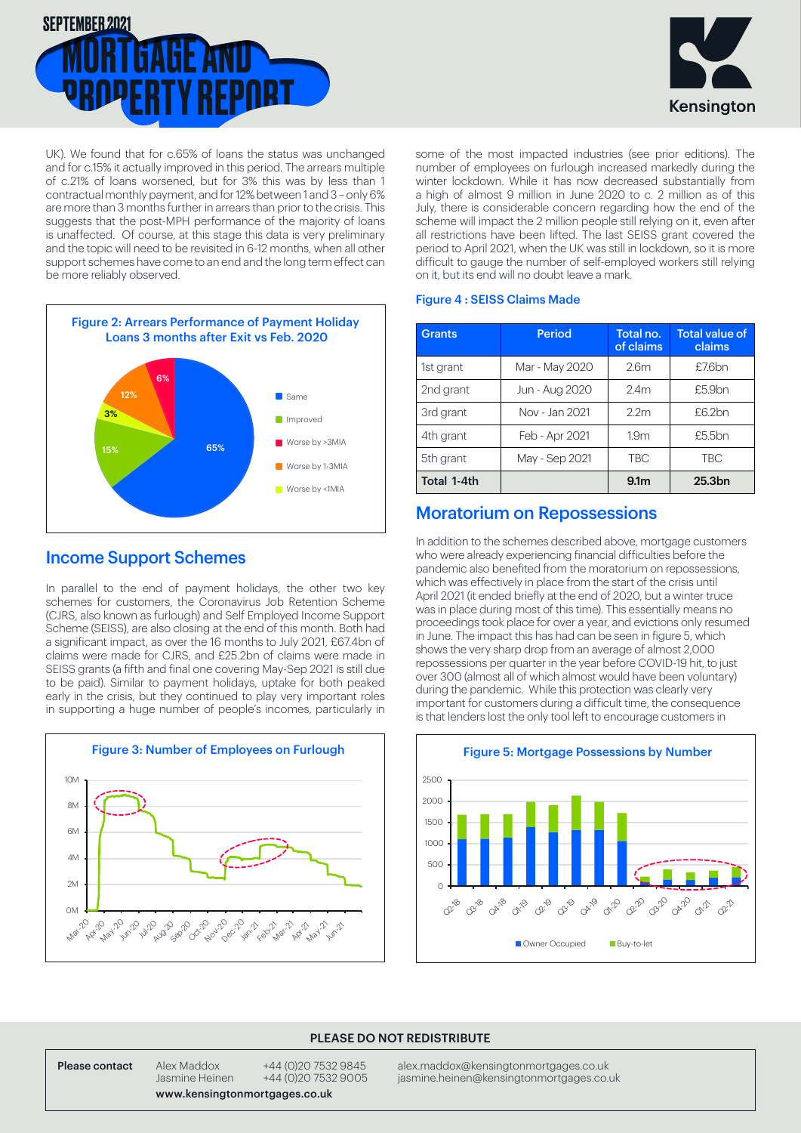



UK). We found that for c.65% of loans the status was unchanged and for c.15% it actually improved in this period. The arrears multiple of c.21% of loans worsened, but for 3% this was by less than 1 contractual monthly payment, and for 12% between 1 and 3 – only 6% are more than 3 months further in arrears than prior to the crisis. This suggests that the post-MPH performance of the majority of loans is unaffected. Of course, at this stage this data is very preliminary and the topic will need to be revisited in 6-12 months, when all other support schemes have come to an end and the long term effect can be more reliably observed.



### Income Support Schemes

In parallel to the end of payment holidays, the other two key schemes for customers, the Coronavirus Job Retention Scheme (CJRS, also known as furlough) and Self Employed Income Support Scheme (SEISS), are also closing at the end of this month. Both had a significant impact, as over the 16 months to July 2021, £67.4bn of claims were made for CJRS, and £25.2bn of claims were made in SEISS grants (a fifth and final one covering May-Sep 2021 is still due to be paid). Similar to payment holidays, uptake for both peaked early in the crisis, but they continued to play very important roles in supporting a huge number of people's incomes, particularly in



some of the most impacted industries (see prior editions). The number of employees on furlough increased markedly during the winter lockdown. While it has now decreased substantially from a high of almost 9 million in June 2020 to c. 2 million as of this July, there is considerable concern regarding how the end of the scheme will impact the 2 million people still relying on it, even after all restrictions have been lifted. The last SEISS grant covered the period to April 2021, when the UK was still in lockdown, so it is more difficult to gauge the number of self-employed workers still relying on it, but its end will no doubt leave a mark.

#### Figure 4 : SEISS Claims Made

| <b>Grants</b> | <b>Period</b>  | Total no.<br>of claims | <b>Total value of</b><br>claims |
|---------------|----------------|------------------------|---------------------------------|
| 1st grant     | Mar - May 2020 | 2.6 <sub>m</sub>       | £7.6bn                          |
| 2nd grant     | Jun - Aug 2020 | 2.4 <sub>m</sub>       | £5.9bn                          |
| 3rd grant     | Nov - Jan 2021 | 2.2 <sub>m</sub>       | £6.2bn                          |
| 4th grant     | Feb - Apr 2021 | 1.9 <sub>m</sub>       | £5.5bn                          |
| 5th grant     | May - Sep 2021 | <b>TBC</b>             | <b>TBC</b>                      |
| Total 1-4th   |                | 9.1 <sub>m</sub>       | 25.3 <sub>bn</sub>              |

## Moratorium on Repossessions

In addition to the schemes described above, mortgage customers who were already experiencing financial difficulties before the pandemic also benefited from the moratorium on repossessions, which was effectively in place from the start of the crisis until April 2021 (it ended briefly at the end of 2020, but a winter truce was in place during most of this time). This essentially means no proceedings took place for over a year, and evictions only resumed in June. The impact this has had can be seen in figure 5, which shows the very sharp drop from an average of almost 2,000 repossessions per quarter in the year before COVID-19 hit, to just over 300 (almost all of which almost would have been voluntary) during the pandemic. While this protection was clearly very important for customers during a difficult time, the consequence is that lenders lost the only tool left to encourage customers in



#### PLEASE DO NOT REDISTRIBUTE

Please contact Alex Maddox +44 (0)20 7532 9845 alex.maddox@kensingtonmortgages.co.uk<br>.Jasmine Heinen +44 (0)20 7532 9005 jasmine.heinen@kensingtonmortgages.co jasmine heinen @kensingtonmortgages.co.uk

www.kensingtonmortgages.co.uk